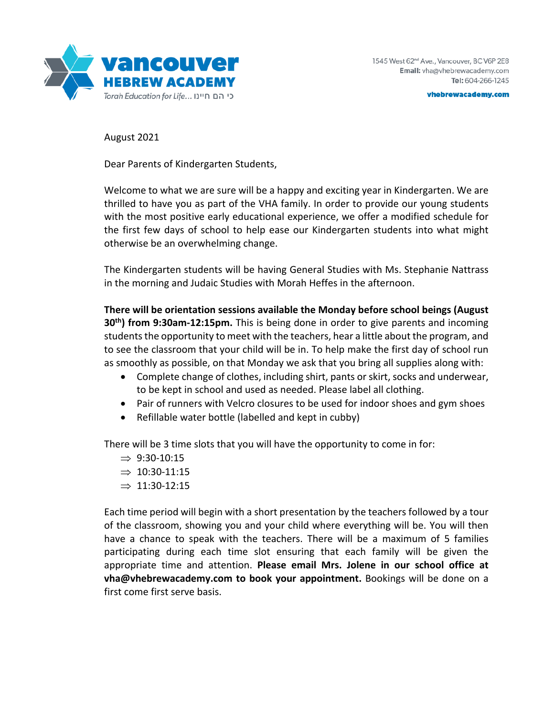

vhebrewacademy.com

August 2021

Dear Parents of Kindergarten Students,

Welcome to what we are sure will be a happy and exciting year in Kindergarten. We are thrilled to have you as part of the VHA family. In order to provide our young students with the most positive early educational experience, we offer a modified schedule for the first few days of school to help ease our Kindergarten students into what might otherwise be an overwhelming change.

The Kindergarten students will be having General Studies with Ms. Stephanie Nattrass in the morning and Judaic Studies with Morah Heffes in the afternoon.

**There will be orientation sessions available the Monday before school beings (August 30th) from 9:30am-12:15pm.** This is being done in order to give parents and incoming students the opportunity to meet with the teachers, hear a little about the program, and to see the classroom that your child will be in. To help make the first day of school run as smoothly as possible, on that Monday we ask that you bring all supplies along with:

- Complete change of clothes, including shirt, pants or skirt, socks and underwear, to be kept in school and used as needed. Please label all clothing.
- Pair of runners with Velcro closures to be used for indoor shoes and gym shoes
- Refillable water bottle (labelled and kept in cubby)

There will be 3 time slots that you will have the opportunity to come in for:

- $\Rightarrow$  9:30-10:15
- $\Rightarrow$  10:30-11:15
- $\Rightarrow$  11:30-12:15

Each time period will begin with a short presentation by the teachers followed by a tour of the classroom, showing you and your child where everything will be. You will then have a chance to speak with the teachers. There will be a maximum of 5 families participating during each time slot ensuring that each family will be given the appropriate time and attention. **Please email Mrs. Jolene in our school office at vha@vhebrewacademy.com to book your appointment.** Bookings will be done on a first come first serve basis.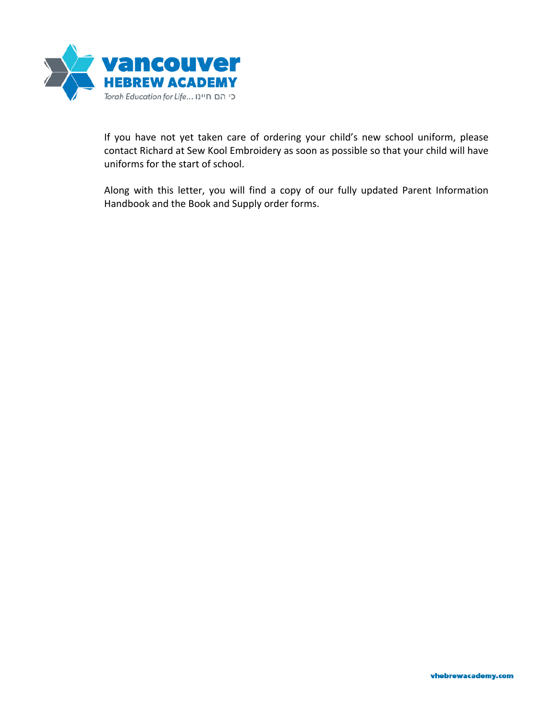

If you have not yet taken care of ordering your child's new school uniform, please contact Richard at Sew Kool Embroidery as soon as possible so that your child will have uniforms for the start of school.

Along with this letter, you will find a copy of our fully updated Parent Information Handbook and the Book and Supply order forms.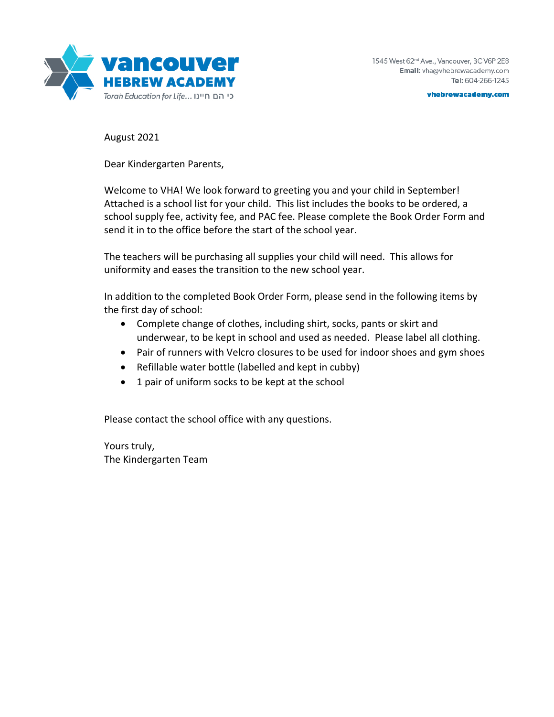

vhebrewacademy.com

August 2021

Dear Kindergarten Parents,

Welcome to VHA! We look forward to greeting you and your child in September! Attached is a school list for your child. This list includes the books to be ordered, a school supply fee, activity fee, and PAC fee. Please complete the Book Order Form and send it in to the office before the start of the school year.

The teachers will be purchasing all supplies your child will need. This allows for uniformity and eases the transition to the new school year.

In addition to the completed Book Order Form, please send in the following items by the first day of school:

- Complete change of clothes, including shirt, socks, pants or skirt and underwear, to be kept in school and used as needed. Please label all clothing.
- Pair of runners with Velcro closures to be used for indoor shoes and gym shoes
- Refillable water bottle (labelled and kept in cubby)
- 1 pair of uniform socks to be kept at the school

Please contact the school office with any questions.

Yours truly, The Kindergarten Team